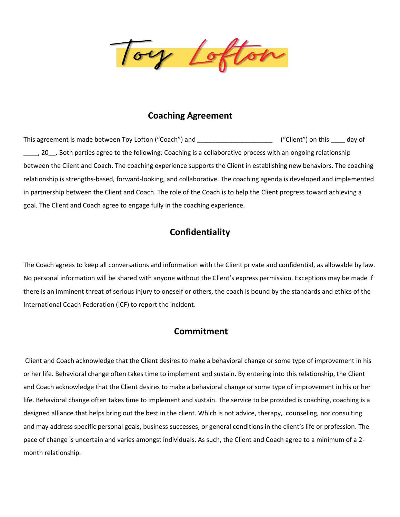ory Lofton

## **Coaching Agreement**

This agreement is made between Toy Lofton ("Coach") and \_\_\_\_\_\_\_\_\_\_\_\_\_\_\_\_\_\_\_\_\_\_\_\_ ("Client") on this \_\_\_\_ day of \_\_\_\_, 20\_\_. Both parties agree to the following: Coaching is a collaborative process with an ongoing relationship between the Client and Coach. The coaching experience supports the Client in establishing new behaviors. The coaching relationship is strengths-based, forward-looking, and collaborative. The coaching agenda is developed and implemented in partnership between the Client and Coach. The role of the Coach is to help the Client progress toward achieving a goal. The Client and Coach agree to engage fully in the coaching experience.

### **Confidentiality**

The Coach agrees to keep all conversations and information with the Client private and confidential, as allowable by law. No personal information will be shared with anyone without the Client's express permission. Exceptions may be made if there is an imminent threat of serious injury to oneself or others, the coach is bound by the standards and ethics of the International Coach Federation (ICF) to report the incident.

### **Commitment**

Client and Coach acknowledge that the Client desires to make a behavioral change or some type of improvement in his or her life. Behavioral change often takes time to implement and sustain. By entering into this relationship, the Client and Coach acknowledge that the Client desires to make a behavioral change or some type of improvement in his or her life. Behavioral change often takes time to implement and sustain. The service to be provided is coaching, coaching is a designed alliance that helps bring out the best in the client. Which is not advice, therapy, counseling, nor consulting and may address specific personal goals, business successes, or general conditions in the client's life or profession. The pace of change is uncertain and varies amongst individuals. As such, the Client and Coach agree to a minimum of a 2 month relationship.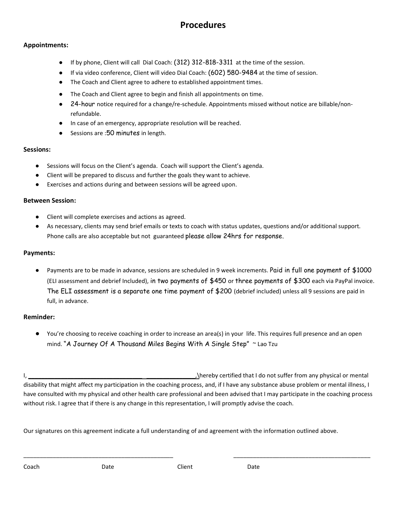## **Procedures**

#### **Appointments:**

- If by phone, Client will call Dial Coach: (312) 312-818-3311 at the time of the session.
- If via video conference, Client will video Dial Coach: (602) 580-9484 at the time of session.
- The Coach and Client agree to adhere to established appointment times.
- The Coach and Client agree to begin and finish all appointments on time.
- 24-hour notice required for a change/re-schedule. Appointments missed without notice are billable/nonrefundable.
- In case of an emergency, appropriate resolution will be reached.
- Sessions are :50 minutes in length.

#### **Sessions:**

- Sessions will focus on the Client's agenda. Coach will support the Client's agenda.
- Client will be prepared to discuss and further the goals they want to achieve.
- Exercises and actions during and between sessions will be agreed upon.

#### **Between Session:**

- Client will complete exercises and actions as agreed.
- As necessary, clients may send brief emails or texts to coach with status updates, questions and/or additional support. Phone calls are also acceptable but not guaranteed please allow 24hrs for response.

#### **Payments:**

Payments are to be made in advance, sessions are scheduled in 9 week increments. Paid in full one payment of \$1000 (ELI assessment and debrief Included), in two payments of \$450 or three payments of \$300 each via PayPal invoice. The ELI assessment is a separate one time payment of \$200 (debrief included) unless all 9 sessions are paid in full, in advance.

#### **Reminder:**

You're choosing to receive coaching in order to increase an area(s) in your life. This requires full presence and an open mind. "A Journey Of A Thousand Miles Begins With A Single Step" ~ Lao Tzu

I, \_\_\_\_\_\_\_\_\_\_\_\_\_\_\_\_\_\_\_\_\_\_\_\_\_\_\_\_\_\_\_\_\_\_\_ \_\_\_\_\_\_\_\_\_\_\_\_\_\_\_,\hereby certified that I do not suffer from any physical or mental disability that might affect my participation in the coaching process, and, if I have any substance abuse problem or mental illness, I have consulted with my physical and other health care professional and been advised that I may participate in the coaching process without risk. I agree that if there is any change in this representation, I will promptly advise the coach.

\_\_\_\_\_\_\_\_\_\_\_\_\_\_\_\_\_\_\_\_\_\_\_\_\_\_\_\_\_\_\_\_\_\_\_\_\_\_\_\_\_\_\_\_\_\_ \_\_\_\_\_\_\_\_\_\_\_\_\_\_\_\_\_\_\_\_\_\_\_\_\_\_\_\_\_\_\_\_\_\_\_\_\_\_\_\_\_\_

Our signatures on this agreement indicate a full understanding of and agreement with the information outlined above.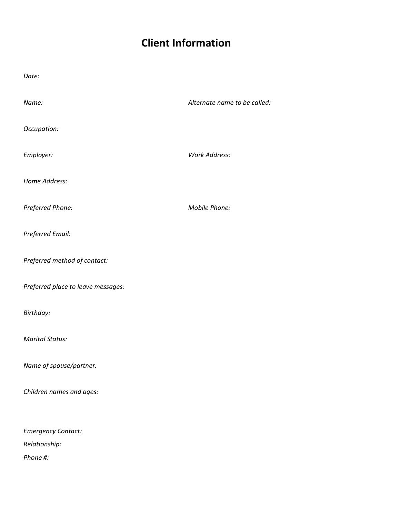# **Client Information**

| Date:                              |                              |
|------------------------------------|------------------------------|
| Name:                              | Alternate name to be called: |
| Occupation:                        |                              |
| Employer:                          | <b>Work Address:</b>         |
| Home Address:                      |                              |
| Preferred Phone:                   | Mobile Phone:                |
| Preferred Email:                   |                              |
| Preferred method of contact:       |                              |
| Preferred place to leave messages: |                              |
| Birthday:                          |                              |
| <b>Marital Status:</b>             |                              |
| Name of spouse/partner:            |                              |
| Children names and ages:           |                              |
|                                    |                              |
| <b>Emergency Contact:</b>          |                              |
| Relationship:                      |                              |
| Phone #:                           |                              |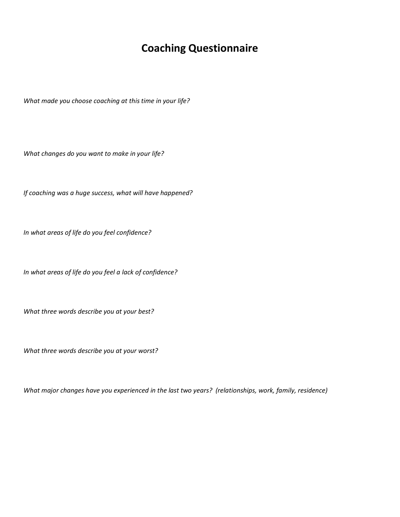## **Coaching Questionnaire**

*What made you choose coaching at this time in your life?* 

*What changes do you want to make in your life?*

*If coaching was a huge success, what will have happened?* 

*In what areas of life do you feel confidence?*

*In what areas of life do you feel a lack of confidence?*

*What three words describe you at your best?*

*What three words describe you at your worst?*

*What major changes have you experienced in the last two years? (relationships, work, family, residence)*